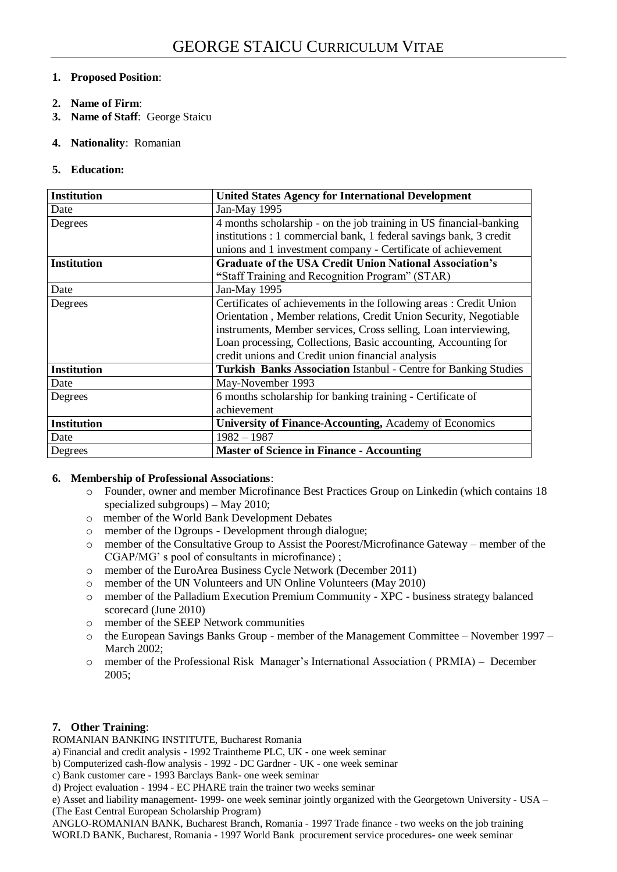## **1. Proposed Position**:

- **2. Name of Firm**:
- **3. Name of Staff**: George Staicu
- **4. Nationality**: Romanian
- **5. Education:**

| <b>Institution</b> | <b>United States Agency for International Development</b>              |  |
|--------------------|------------------------------------------------------------------------|--|
| Date               | Jan-May 1995                                                           |  |
| Degrees            | 4 months scholarship - on the job training in US financial-banking     |  |
|                    | institutions : 1 commercial bank, 1 federal savings bank, 3 credit     |  |
|                    | unions and 1 investment company - Certificate of achievement           |  |
| <b>Institution</b> | <b>Graduate of the USA Credit Union National Association's</b>         |  |
|                    | "Staff Training and Recognition Program" (STAR)                        |  |
| Date               | Jan-May 1995                                                           |  |
| Degrees            | Certificates of achievements in the following areas: Credit Union      |  |
|                    | Orientation, Member relations, Credit Union Security, Negotiable       |  |
|                    | instruments, Member services, Cross selling, Loan interviewing,        |  |
|                    | Loan processing, Collections, Basic accounting, Accounting for         |  |
|                    | credit unions and Credit union financial analysis                      |  |
| <b>Institution</b> | <b>Turkish Banks Association Istanbul - Centre for Banking Studies</b> |  |
| Date               | May-November 1993                                                      |  |
| Degrees            | 6 months scholarship for banking training - Certificate of             |  |
|                    | achievement                                                            |  |
| <b>Institution</b> | University of Finance-Accounting, Academy of Economics                 |  |
| Date               | $1982 - 1987$                                                          |  |
| Degrees            | <b>Master of Science in Finance - Accounting</b>                       |  |

## **6. Membership of Professional Associations**:

- o Founder, owner and member Microfinance Best Practices Group on Linkedin (which contains 18 specialized subgroups) – May 2010;
- o member of the World Bank Development Debates
- o member of the Dgroups Development through dialogue;
- o member of the Consultative Group to Assist the Poorest/Microfinance Gateway member of the CGAP/MG' s pool of consultants in microfinance) ;
- o member of the EuroArea Business Cycle Network (December 2011)
- o member of the UN Volunteers and UN Online Volunteers (May 2010)
- o member of the Palladium Execution Premium Community XPC business strategy balanced scorecard (June 2010)
- o member of the SEEP Network communities
- o the European Savings Banks Group member of the Management Committee November 1997 March 2002;
- o member of the Professional Risk Manager's International Association ( PRMIA) December 2005;

## **7. Other Training**:

ROMANIAN BANKING INSTITUTE, Bucharest Romania

- a) Financial and credit analysis 1992 Traintheme PLC, UK one week seminar
- b) Computerized cash-flow analysis 1992 DC Gardner UK one week seminar
- c) Bank customer care 1993 Barclays Bank- one week seminar
- d) Project evaluation 1994 EC PHARE train the trainer two weeks seminar

e) Asset and liability management- 1999- one week seminar jointly organized with the Georgetown University - USA – (The East Central European Scholarship Program)

ANGLO-ROMANIAN BANK, Bucharest Branch, Romania - 1997 Trade finance - two weeks on the job training WORLD BANK, Bucharest, Romania - 1997 World Bank procurement service procedures- one week seminar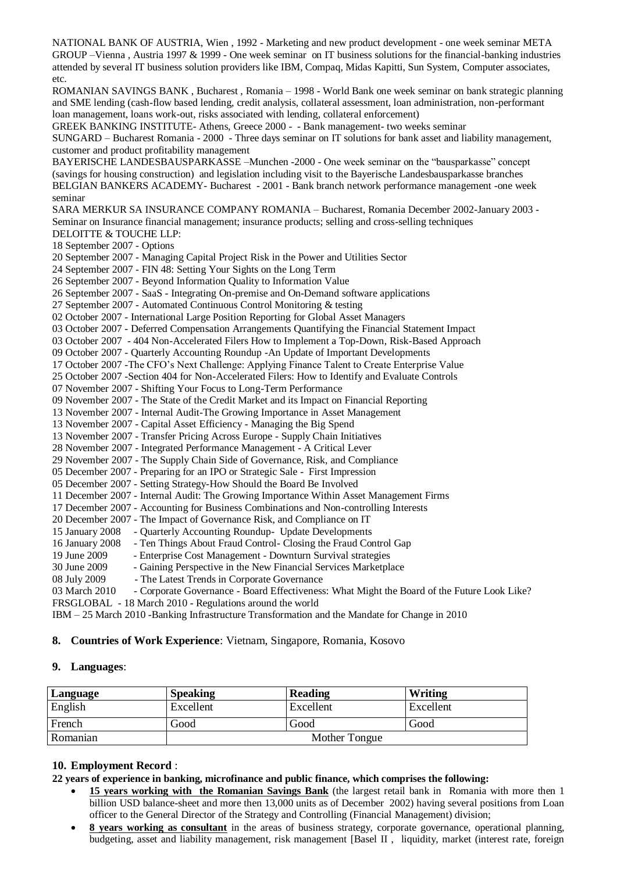NATIONAL BANK OF AUSTRIA, Wien , 1992 - Marketing and new product development - one week seminar META GROUP –Vienna , Austria 1997 & 1999 - One week seminar on IT business solutions for the financial-banking industries attended by several IT business solution providers like IBM, Compaq, Midas Kapitti, Sun System, Computer associates, etc.

ROMANIAN SAVINGS BANK , Bucharest , Romania – 1998 - World Bank one week seminar on bank strategic planning and SME lending (cash-flow based lending, credit analysis, collateral assessment, loan administration, non-performant loan management, loans work-out, risks associated with lending, collateral enforcement)

GREEK BANKING INSTITUTE- Athens, Greece 2000 - - Bank management- two weeks seminar

SUNGARD – Bucharest Romania - 2000 - Three days seminar on IT solutions for bank asset and liability management, customer and product profitability management

BAYERISCHE LANDESBAUSPARKASSE –Munchen -2000 - One week seminar on the "bausparkasse" concept (savings for housing construction) and legislation including visit to the Bayerische Landesbausparkasse branches BELGIAN BANKERS ACADEMY- Bucharest - 2001 - Bank branch network performance management -one week seminar

SARA MERKUR SA INSURANCE COMPANY ROMANIA – Bucharest, Romania December 2002-January 2003 - Seminar on Insurance financial management; insurance products; selling and cross-selling techniques DELOITTE & TOUCHE LLP:

18 September 2007 - Options

20 September 2007 - Managing Capital Project Risk in the Power and Utilities Sector

24 September 2007 - FIN 48: Setting Your Sights on the Long Term

26 September 2007 - Beyond Information Quality to Information Value

26 September 2007 - SaaS - Integrating On-premise and On-Demand software applications

27 September 2007 - Automated Continuous Control Monitoring & testing

02 October 2007 - International Large Position Reporting for Global Asset Managers

03 October 2007 - Deferred Compensation Arrangements Quantifying the Financial Statement Impact

03 October 2007 - 404 Non-Accelerated Filers How to Implement a Top-Down, Risk-Based Approach

09 October 2007 - Quarterly Accounting Roundup -An Update of Important Developments

17 October 2007 -The CFO's Next Challenge: Applying Finance Talent to Create Enterprise Value

25 October 2007 -Section 404 for Non-Accelerated Filers: How to Identify and Evaluate Controls

07 November 2007 - Shifting Your Focus to Long-Term Performance

09 November 2007 - The State of the Credit Market and its Impact on Financial Reporting

13 November 2007 - Internal Audit-The Growing Importance in Asset Management

13 November 2007 - Capital Asset Efficiency - Managing the Big Spend

13 November 2007 - Transfer Pricing Across Europe - Supply Chain Initiatives

28 November 2007 - Integrated Performance Management - A Critical Lever

29 November 2007 - The Supply Chain Side of Governance, Risk, and Compliance

05 December 2007 - Preparing for an IPO or Strategic Sale - First Impression

05 December 2007 - Setting Strategy-How Should the Board Be Involved

11 December 2007 - Internal Audit: The Growing Importance Within Asset Management Firms

17 December 2007 - Accounting for Business Combinations and Non-controlling Interests

20 December 2007 - The Impact of Governance Risk, and Compliance on IT

15 January 2008 - Quarterly Accounting Roundup- Update Developments

16 January 2008 - Ten Things About Fraud Control- Closing the Fraud Control Gap

19 June 2009 - Enterprise Cost Management - Downturn Survival strategies

30 June 2009 - Gaining Perspective in the New Financial Services Marketplace

08 July 2009 - The Latest Trends in Corporate Governance

03 March 2010 - Corporate Governance - Board Effectiveness: What Might the Board of the Future Look Like? FRSGLOBAL - 18 March 2010 - Regulations around the world

IBM – 25 March 2010 -Banking Infrastructure Transformation and the Mandate for Change in 2010

### **8. Countries of Work Experience**: Vietnam, Singapore, Romania, Kosovo

### **9. Languages**:

| Language | <b>Speaking</b> | Reading       | Writing   |
|----------|-----------------|---------------|-----------|
| English  | Excellent       | Excellent     | Excellent |
| French   | Good            | Good          | Good      |
| Romanian |                 | Mother Tongue |           |

## **10. Employment Record** :

**22 years of experience in banking, microfinance and public finance, which comprises the following:** 

- **15 years working with the Romanian Savings Bank** (the largest retail bank in Romania with more then 1 billion USD balance-sheet and more then 13,000 units as of December 2002) having several positions from Loan officer to the General Director of the Strategy and Controlling (Financial Management) division;
- **8 years working as consultant** in the areas of business strategy, corporate governance, operational planning, budgeting, asset and liability management, risk management [Basel II , liquidity, market (interest rate, foreign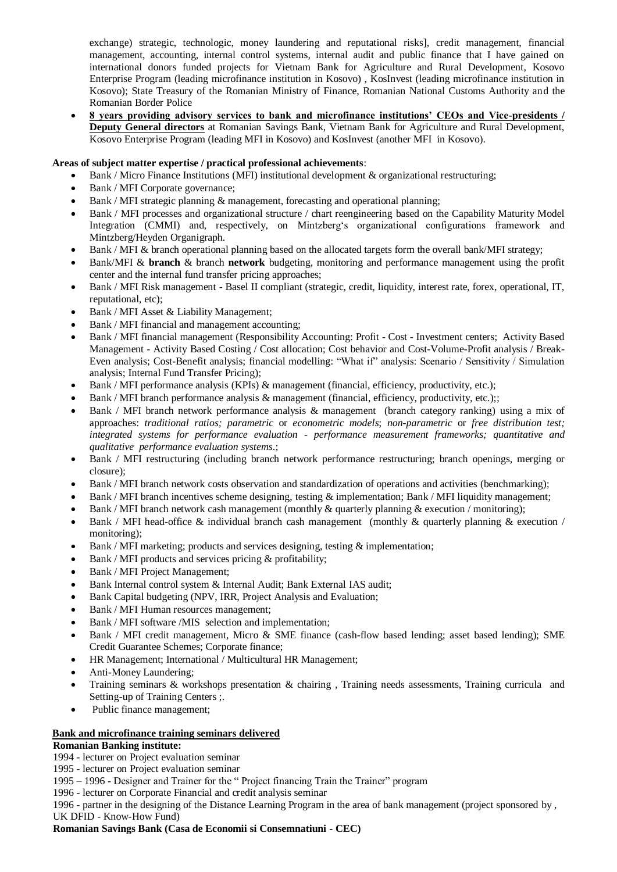exchange) strategic, technologic, money laundering and reputational risks], credit management, financial management, accounting, internal control systems, internal audit and public finance that I have gained on international donors funded projects for Vietnam Bank for Agriculture and Rural Development, Kosovo Enterprise Program (leading microfinance institution in Kosovo) , KosInvest (leading microfinance institution in Kosovo); State Treasury of the Romanian Ministry of Finance, Romanian National Customs Authority and the Romanian Border Police

 **8 years providing advisory services to bank and microfinance institutions' CEOs and Vice-presidents / Deputy General directors** at Romanian Savings Bank, Vietnam Bank for Agriculture and Rural Development, Kosovo Enterprise Program (leading MFI in Kosovo) and KosInvest (another MFI in Kosovo).

#### **Areas of subject matter expertise / practical professional achievements**:

- Bank / Micro Finance Institutions (MFI) institutional development & organizational restructuring;
- Bank / MFI Corporate governance;
- Bank / MFI strategic planning & management, forecasting and operational planning;
- Bank / MFI processes and organizational structure / chart reengineering based on the Capability Maturity Model Integration (CMMI) and, respectively, on Mintzberg's organizational configurations framework and Mintzberg/Heyden Organigraph.
- Bank / MFI & branch operational planning based on the allocated targets form the overall bank/MFI strategy;
- Bank/MFI & **branch** & branch **network** budgeting, monitoring and performance management using the profit center and the internal fund transfer pricing approaches;
- Bank / MFI Risk management Basel II compliant (strategic, credit, liquidity, interest rate, forex, operational, IT, reputational, etc);
- Bank / MFI Asset & Liability Management;
- Bank / MFI financial and management accounting;
- Bank / MFI financial management (Responsibility Accounting: Profit Cost Investment centers; Activity Based Management - Activity Based Costing / Cost allocation; Cost behavior and Cost-Volume-Profit analysis / Break-Even analysis; Cost-Benefit analysis; financial modelling: "What if" analysis: Scenario / Sensitivity / Simulation analysis; Internal Fund Transfer Pricing);
- Bank / MFI performance analysis (KPIs) & management (financial, efficiency, productivity, etc.);
- Bank / MFI branch performance analysis & management (financial, efficiency, productivity, etc.);;
- Bank / MFI branch network performance analysis & management (branch category ranking) using a mix of approaches: *traditional ratios; parametric* or *econometric models*; *non-parametric* or *free distribution test; integrated systems for performance evaluation - performance measurement frameworks; quantitative and qualitative performance evaluation systems*.;
- Bank / MFI restructuring (including branch network performance restructuring; branch openings, merging or closure);
- Bank / MFI branch network costs observation and standardization of operations and activities (benchmarking);
- Bank / MFI branch incentives scheme designing, testing & implementation; Bank / MFI liquidity management;
- Bank / MFI branch network cash management (monthly & quarterly planning & execution / monitoring);
- Bank / MFI head-office & individual branch cash management (monthly & quarterly planning & execution / monitoring);
- Bank / MFI marketing; products and services designing, testing & implementation;
- Bank / MFI products and services pricing & profitability;
- Bank / MFI Project Management;
- Bank Internal control system & Internal Audit; Bank External IAS audit;
- Bank Capital budgeting (NPV, IRR, Project Analysis and Evaluation;
- Bank / MFI Human resources management;
- Bank / MFI software /MIS selection and implementation;
- Bank / MFI credit management, Micro & SME finance (cash-flow based lending; asset based lending); SME Credit Guarantee Schemes; Corporate finance;
- HR Management; International / Multicultural HR Management;
- Anti-Money Laundering;
- Training seminars & workshops presentation & chairing, Training needs assessments, Training curricula and Setting-up of Training Centers ;.
- Public finance management;

#### **Bank and microfinance training seminars delivered**

### **Romanian Banking institute:**

1994 - lecturer on Project evaluation seminar

- 1995 lecturer on Project evaluation seminar
- 1995 1996 Designer and Trainer for the " Project financing Train the Trainer" program
- 1996 lecturer on Corporate Financial and credit analysis seminar

1996 - partner in the designing of the Distance Learning Program in the area of bank management (project sponsored by , UK DFID - Know-How Fund)

#### **Romanian Savings Bank (Casa de Economii si Consemnatiuni - CEC)**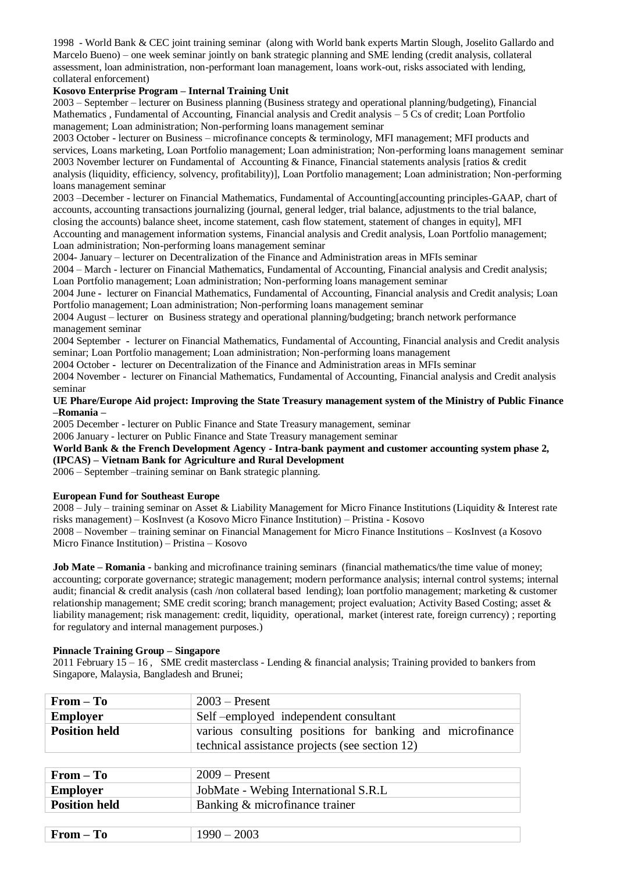1998 - World Bank & CEC joint training seminar (along with World bank experts Martin Slough, Joselito Gallardo and Marcelo Bueno) – one week seminar jointly on bank strategic planning and SME lending (credit analysis, collateral assessment, loan administration, non-performant loan management, loans work-out, risks associated with lending, collateral enforcement)

### **Kosovo Enterprise Program – Internal Training Unit**

2003 – September – lecturer on Business planning (Business strategy and operational planning/budgeting), Financial Mathematics , Fundamental of Accounting, Financial analysis and Credit analysis – 5 Cs of credit; Loan Portfolio management; Loan administration; Non-performing loans management seminar

2003 October - lecturer on Business – microfinance concepts & terminology, MFI management; MFI products and services, Loans marketing, Loan Portfolio management; Loan administration; Non-performing loans management seminar 2003 November lecturer on Fundamental of Accounting & Finance, Financial statements analysis [ratios & credit analysis (liquidity, efficiency, solvency, profitability)], Loan Portfolio management; Loan administration; Non-performing loans management seminar

2003 –December - lecturer on Financial Mathematics, Fundamental of Accounting[accounting principles-GAAP, chart of accounts, accounting transactions journalizing (journal, general ledger, trial balance, adjustments to the trial balance, closing the accounts) balance sheet, income statement, cash flow statement, statement of changes in equity], MFI

Accounting and management information systems, Financial analysis and Credit analysis, Loan Portfolio management; Loan administration; Non-performing loans management seminar

2004- January – lecturer on Decentralization of the Finance and Administration areas in MFIs seminar

2004 – March - lecturer on Financial Mathematics, Fundamental of Accounting, Financial analysis and Credit analysis; Loan Portfolio management; Loan administration; Non-performing loans management seminar

2004 June **-** lecturer on Financial Mathematics, Fundamental of Accounting, Financial analysis and Credit analysis; Loan Portfolio management; Loan administration; Non-performing loans management seminar

2004 August – lecturer on Business strategy and operational planning/budgeting; branch network performance management seminar

2004 September **-** lecturer on Financial Mathematics, Fundamental of Accounting, Financial analysis and Credit analysis seminar; Loan Portfolio management; Loan administration; Non-performing loans management

2004 October **-** lecturer on Decentralization of the Finance and Administration areas in MFIs seminar

2004 November - lecturer on Financial Mathematics, Fundamental of Accounting, Financial analysis and Credit analysis seminar

#### **UE Phare/Europe Aid project: Improving the State Treasury management system of the Ministry of Public Finance –Romania –**

2005 December - lecturer on Public Finance and State Treasury management, seminar

2006 January - lecturer on Public Finance and State Treasury management seminar

## **World Bank & the French Development Agency - Intra-bank payment and customer accounting system phase 2,**

## **(IPCAS) – Vietnam Bank for Agriculture and Rural Development**

2006 – September –training seminar on Bank strategic planning.

#### **European Fund for Southeast Europe**

2008 – July – training seminar on Asset & Liability Management for Micro Finance Institutions (Liquidity & Interest rate risks management) – KosInvest (a Kosovo Micro Finance Institution) – Pristina - Kosovo

2008 – November – training seminar on Financial Management for Micro Finance Institutions – KosInvest (a Kosovo Micro Finance Institution) – Pristina – Kosovo

**Job Mate – Romania -** banking and microfinance training seminars (financial mathematics/the time value of money; accounting; corporate governance; strategic management; modern performance analysis; internal control systems; internal audit; financial & credit analysis (cash /non collateral based lending); loan portfolio management; marketing & customer relationship management; SME credit scoring; branch management; project evaluation; Activity Based Costing; asset & liability management; risk management: credit, liquidity, operational, market (interest rate, foreign currency) ; reporting for regulatory and internal management purposes.)

#### **Pinnacle Training Group – Singapore**

2011 February 15 – 16 , SME credit masterclass - Lending & financial analysis; Training provided to bankers from Singapore, Malaysia, Bangladesh and Brunei;

| $From - To$          | $2003$ – Present                                                                                            |  |
|----------------------|-------------------------------------------------------------------------------------------------------------|--|
| <b>Employer</b>      | Self-employed independent consultant                                                                        |  |
| <b>Position held</b> | various consulting positions for banking and microfinance<br>technical assistance projects (see section 12) |  |
|                      |                                                                                                             |  |
| $From - To$          | $2009 -$ Present                                                                                            |  |
| <b>Employer</b>      | JobMate - Webing International S.R.L                                                                        |  |
| <b>Position held</b> | Banking & microfinance trainer                                                                              |  |
|                      |                                                                                                             |  |
| $From - To$          | $1990 - 2003$                                                                                               |  |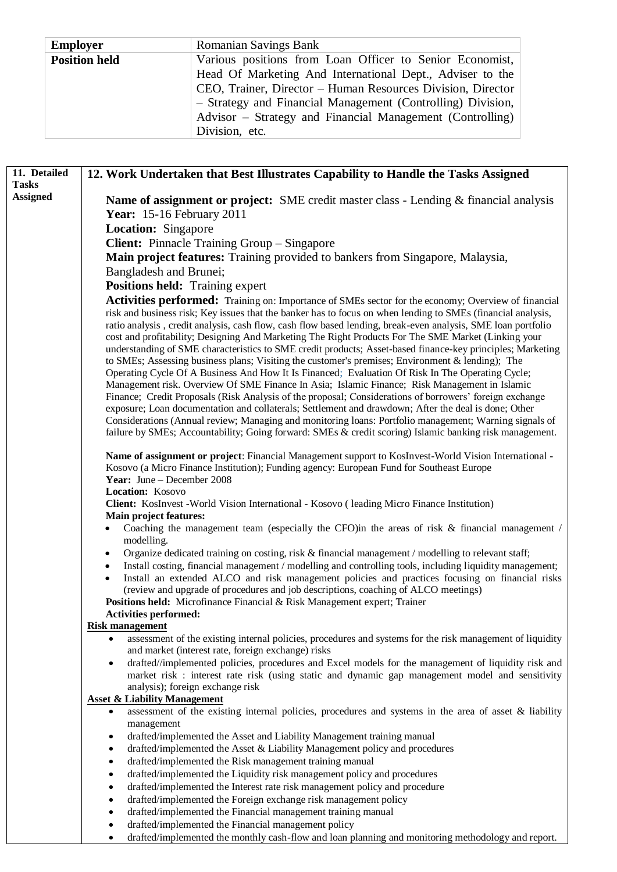| <b>Employer</b>      | <b>Romanian Savings Bank</b>                                |  |
|----------------------|-------------------------------------------------------------|--|
| <b>Position held</b> | Various positions from Loan Officer to Senior Economist,    |  |
|                      | Head Of Marketing And International Dept., Adviser to the   |  |
|                      | CEO, Trainer, Director – Human Resources Division, Director |  |
|                      | - Strategy and Financial Management (Controlling) Division, |  |
|                      | Advisor – Strategy and Financial Management (Controlling)   |  |
|                      | Division, etc.                                              |  |

| 11. Detailed    | 12. Work Undertaken that Best Illustrates Capability to Handle the Tasks Assigned                                                                                                                                                                                                                                                                                                                                                                                                                                                                                                                                                                            |  |  |
|-----------------|--------------------------------------------------------------------------------------------------------------------------------------------------------------------------------------------------------------------------------------------------------------------------------------------------------------------------------------------------------------------------------------------------------------------------------------------------------------------------------------------------------------------------------------------------------------------------------------------------------------------------------------------------------------|--|--|
| <b>Tasks</b>    |                                                                                                                                                                                                                                                                                                                                                                                                                                                                                                                                                                                                                                                              |  |  |
| <b>Assigned</b> | Name of assignment or project: SME credit master class - Lending & financial analysis                                                                                                                                                                                                                                                                                                                                                                                                                                                                                                                                                                        |  |  |
|                 | <b>Year: 15-16 February 2011</b>                                                                                                                                                                                                                                                                                                                                                                                                                                                                                                                                                                                                                             |  |  |
|                 | Location: Singapore                                                                                                                                                                                                                                                                                                                                                                                                                                                                                                                                                                                                                                          |  |  |
|                 | <b>Client:</b> Pinnacle Training Group – Singapore                                                                                                                                                                                                                                                                                                                                                                                                                                                                                                                                                                                                           |  |  |
|                 |                                                                                                                                                                                                                                                                                                                                                                                                                                                                                                                                                                                                                                                              |  |  |
|                 | Main project features: Training provided to bankers from Singapore, Malaysia,                                                                                                                                                                                                                                                                                                                                                                                                                                                                                                                                                                                |  |  |
|                 | Bangladesh and Brunei;                                                                                                                                                                                                                                                                                                                                                                                                                                                                                                                                                                                                                                       |  |  |
|                 | <b>Positions held:</b> Training expert                                                                                                                                                                                                                                                                                                                                                                                                                                                                                                                                                                                                                       |  |  |
|                 | Activities performed: Training on: Importance of SMEs sector for the economy; Overview of financial<br>risk and business risk; Key issues that the banker has to focus on when lending to SMEs (financial analysis,<br>ratio analysis, credit analysis, cash flow, cash flow based lending, break-even analysis, SME loan portfolio<br>cost and profitability; Designing And Marketing The Right Products For The SME Market (Linking your<br>understanding of SME characteristics to SME credit products; Asset-based finance-key principles; Marketing<br>to SMEs; Assessing business plans; Visiting the customer's premises; Environment & lending); The |  |  |
|                 | Operating Cycle Of A Business And How It Is Financed; Evaluation Of Risk In The Operating Cycle;                                                                                                                                                                                                                                                                                                                                                                                                                                                                                                                                                             |  |  |
|                 | Management risk. Overview Of SME Finance In Asia; Islamic Finance; Risk Management in Islamic                                                                                                                                                                                                                                                                                                                                                                                                                                                                                                                                                                |  |  |
|                 | Finance; Credit Proposals (Risk Analysis of the proposal; Considerations of borrowers' foreign exchange<br>exposure; Loan documentation and collaterals; Settlement and drawdown; After the deal is done; Other<br>Considerations (Annual review; Managing and monitoring loans: Portfolio management; Warning signals of<br>failure by SMEs; Accountability; Going forward: SMEs & credit scoring) Islamic banking risk management.                                                                                                                                                                                                                         |  |  |
|                 | Name of assignment or project: Financial Management support to KosInvest-World Vision International -<br>Kosovo (a Micro Finance Institution); Funding agency: European Fund for Southeast Europe                                                                                                                                                                                                                                                                                                                                                                                                                                                            |  |  |
|                 | Year: June - December 2008                                                                                                                                                                                                                                                                                                                                                                                                                                                                                                                                                                                                                                   |  |  |
|                 | Location: Kosovo                                                                                                                                                                                                                                                                                                                                                                                                                                                                                                                                                                                                                                             |  |  |
|                 | Client: KosInvest - World Vision International - Kosovo (leading Micro Finance Institution)                                                                                                                                                                                                                                                                                                                                                                                                                                                                                                                                                                  |  |  |
|                 | <b>Main project features:</b>                                                                                                                                                                                                                                                                                                                                                                                                                                                                                                                                                                                                                                |  |  |
|                 | Coaching the management team (especially the CFO) in the areas of risk $\&$ financial management /<br>modelling.                                                                                                                                                                                                                                                                                                                                                                                                                                                                                                                                             |  |  |
|                 | Organize dedicated training on costing, risk & financial management / modelling to relevant staff;<br>$\bullet$                                                                                                                                                                                                                                                                                                                                                                                                                                                                                                                                              |  |  |
|                 | Install costing, financial management / modelling and controlling tools, including liquidity management;<br>Install an extended ALCO and risk management policies and practices focusing on financial risks<br>(review and upgrade of procedures and job descriptions, coaching of ALCO meetings)                                                                                                                                                                                                                                                                                                                                                            |  |  |
|                 | <b>Positions held:</b> Microfinance Financial & Risk Management expert; Trainer                                                                                                                                                                                                                                                                                                                                                                                                                                                                                                                                                                              |  |  |
|                 | <b>Activities performed:</b>                                                                                                                                                                                                                                                                                                                                                                                                                                                                                                                                                                                                                                 |  |  |
|                 | <b>Risk management</b>                                                                                                                                                                                                                                                                                                                                                                                                                                                                                                                                                                                                                                       |  |  |
|                 | assessment of the existing internal policies, procedures and systems for the risk management of liquidity<br>٠<br>and market (interest rate, foreign exchange) risks                                                                                                                                                                                                                                                                                                                                                                                                                                                                                         |  |  |
|                 | drafted//implemented policies, procedures and Excel models for the management of liquidity risk and<br>$\bullet$<br>market risk : interest rate risk (using static and dynamic gap management model and sensitivity<br>analysis); foreign exchange risk                                                                                                                                                                                                                                                                                                                                                                                                      |  |  |
|                 | <b>Asset &amp; Liability Management</b>                                                                                                                                                                                                                                                                                                                                                                                                                                                                                                                                                                                                                      |  |  |
|                 | assessment of the existing internal policies, procedures and systems in the area of asset & liability<br>٠                                                                                                                                                                                                                                                                                                                                                                                                                                                                                                                                                   |  |  |
|                 | management                                                                                                                                                                                                                                                                                                                                                                                                                                                                                                                                                                                                                                                   |  |  |
|                 | drafted/implemented the Asset and Liability Management training manual<br>٠                                                                                                                                                                                                                                                                                                                                                                                                                                                                                                                                                                                  |  |  |
|                 | drafted/implemented the Asset & Liability Management policy and procedures<br>$\bullet$                                                                                                                                                                                                                                                                                                                                                                                                                                                                                                                                                                      |  |  |
|                 | drafted/implemented the Risk management training manual<br>$\bullet$                                                                                                                                                                                                                                                                                                                                                                                                                                                                                                                                                                                         |  |  |
|                 | drafted/implemented the Liquidity risk management policy and procedures<br>$\bullet$                                                                                                                                                                                                                                                                                                                                                                                                                                                                                                                                                                         |  |  |
|                 | drafted/implemented the Interest rate risk management policy and procedure<br>$\bullet$                                                                                                                                                                                                                                                                                                                                                                                                                                                                                                                                                                      |  |  |
|                 | drafted/implemented the Foreign exchange risk management policy<br>$\bullet$<br>drafted/implemented the Financial management training manual<br>$\bullet$                                                                                                                                                                                                                                                                                                                                                                                                                                                                                                    |  |  |
|                 | drafted/implemented the Financial management policy<br>$\bullet$                                                                                                                                                                                                                                                                                                                                                                                                                                                                                                                                                                                             |  |  |

drafted/implemented the monthly cash-flow and loan planning and monitoring methodology and report.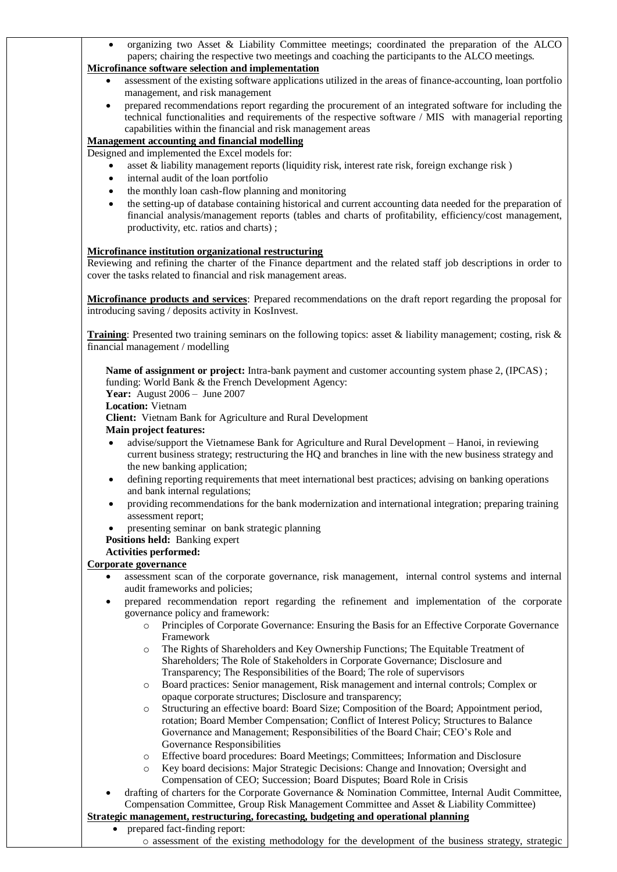organizing two Asset & Liability Committee meetings; coordinated the preparation of the ALCO papers; chairing the respective two meetings and coaching the participants to the ALCO meetings.

### **Microfinance software selection and implementation**

- assessment of the existing software applications utilized in the areas of finance-accounting, loan portfolio management, and risk management
- prepared recommendations report regarding the procurement of an integrated software for including the technical functionalities and requirements of the respective software / MIS with managerial reporting capabilities within the financial and risk management areas

## **Management accounting and financial modelling**

Designed and implemented the Excel models for:

- asset & liability management reports (liquidity risk, interest rate risk, foreign exchange risk )
- internal audit of the loan portfolio
- the monthly loan cash-flow planning and monitoring
- the setting-up of database containing historical and current accounting data needed for the preparation of financial analysis/management reports (tables and charts of profitability, efficiency/cost management, productivity, etc. ratios and charts) ;

## **Microfinance institution organizational restructuring**

Reviewing and refining the charter of the Finance department and the related staff job descriptions in order to cover the tasks related to financial and risk management areas.

**Microfinance products and services**: Prepared recommendations on the draft report regarding the proposal for introducing saving / deposits activity in KosInvest.

**Training**: Presented two training seminars on the following topics: asset & liability management; costing, risk & financial management / modelling

**Name of assignment or project:** Intra-bank payment and customer accounting system phase 2, (IPCAS) ; funding: World Bank & the French Development Agency: **Year:** August 2006 – June 2007 **Location:** Vietnam **Client:** Vietnam Bank for Agriculture and Rural Development **Main project features:**

- advise/support the Vietnamese Bank for Agriculture and Rural Development Hanoi, in reviewing current business strategy; restructuring the HQ and branches in line with the new business strategy and the new banking application;
- defining reporting requirements that meet international best practices; advising on banking operations and bank internal regulations;
- providing recommendations for the bank modernization and international integration; preparing training assessment report;
- presenting seminar on bank strategic planning
- **Positions held:** Banking expert

## **Activities performed:**

## **Corporate governance**

- assessment scan of the corporate governance, risk management, internal control systems and internal audit frameworks and policies;
- prepared recommendation report regarding the refinement and implementation of the corporate governance policy and framework:
	- o Principles of Corporate Governance: Ensuring the Basis for an Effective Corporate Governance Framework
	- o The Rights of Shareholders and Key Ownership Functions; The Equitable Treatment of Shareholders; The Role of Stakeholders in Corporate Governance; Disclosure and Transparency; The Responsibilities of the Board; The role of supervisors
	- o Board practices: Senior management, Risk management and internal controls; Complex or opaque corporate structures; Disclosure and transparency;
	- o Structuring an effective board: Board Size; Composition of the Board; Appointment period, rotation; Board Member Compensation; Conflict of Interest Policy; Structures to Balance Governance and Management; Responsibilities of the Board Chair; CEO's Role and Governance Responsibilities
	- o Effective board procedures: Board Meetings; Committees; Information and Disclosure
	- o Key board decisions: Major Strategic Decisions: Change and Innovation; Oversight and Compensation of CEO; Succession; Board Disputes; Board Role in Crisis
- drafting of charters for the Corporate Governance & Nomination Committee, Internal Audit Committee, Compensation Committee, Group Risk Management Committee and Asset & Liability Committee)

### **Strategic management, restructuring, forecasting, budgeting and operational planning**

- prepared fact-finding report:
	- o assessment of the existing methodology for the development of the business strategy, strategic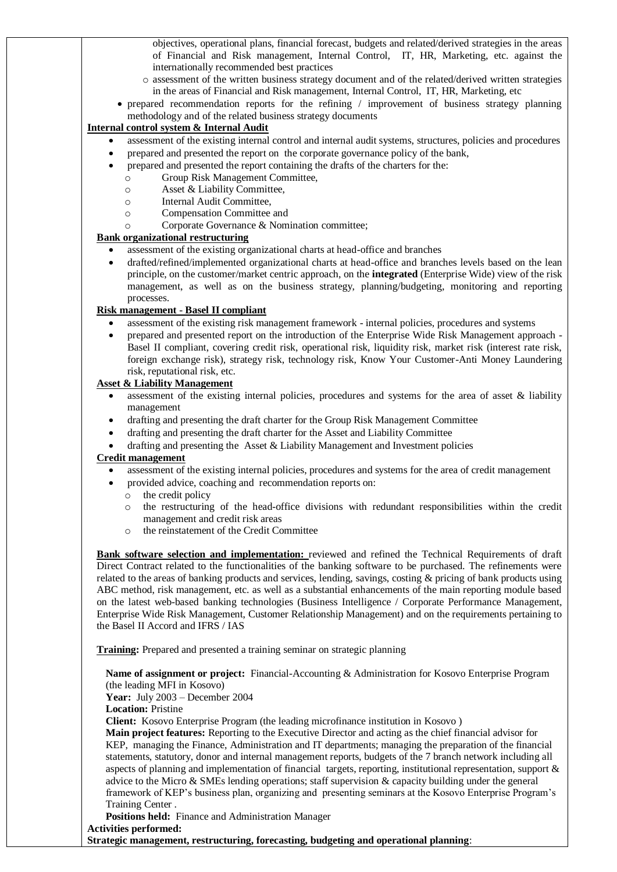objectives, operational plans, financial forecast, budgets and related/derived strategies in the areas of Financial and Risk management, Internal Control, IT, HR, Marketing, etc. against the internationally recommended best practices

- o assessment of the written business strategy document and of the related/derived written strategies in the areas of Financial and Risk management, Internal Control, IT, HR, Marketing, etc
- prepared recommendation reports for the refining / improvement of business strategy planning methodology and of the related business strategy documents

### **Internal control system & Internal Audit**

- assessment of the existing internal control and internal audit systems, structures, policies and procedures
	- prepared and presented the report on the corporate governance policy of the bank,
	- prepared and presented the report containing the drafts of the charters for the:
		- o Group Risk Management Committee,
		- o Asset & Liability Committee,
		- o Internal Audit Committee,
		- o Compensation Committee and
		- o Corporate Governance & Nomination committee;

### **Bank organizational restructuring**

- assessment of the existing organizational charts at head-office and branches
- drafted/refined/implemented organizational charts at head-office and branches levels based on the lean principle, on the customer/market centric approach, on the **integrated** (Enterprise Wide) view of the risk management, as well as on the business strategy, planning/budgeting, monitoring and reporting processes.

### **Risk management** - **Basel II compliant**

- assessment of the existing risk management framework internal policies, procedures and systems
- prepared and presented report on the introduction of the Enterprise Wide Risk Management approach Basel II compliant, covering credit risk, operational risk, liquidity risk, market risk (interest rate risk, foreign exchange risk), strategy risk, technology risk, Know Your Customer-Anti Money Laundering risk, reputational risk, etc.

### **Asset & Liability Management**

- assessment of the existing internal policies, procedures and systems for the area of asset & liability management
- drafting and presenting the draft charter for the Group Risk Management Committee
- drafting and presenting the draft charter for the Asset and Liability Committee
- drafting and presenting the Asset & Liability Management and Investment policies

#### **Credit management**

- assessment of the existing internal policies, procedures and systems for the area of credit management
- provided advice, coaching and recommendation reports on:
	- o the credit policy
	- o the restructuring of the head-office divisions with redundant responsibilities within the credit management and credit risk areas
	- o the reinstatement of the Credit Committee

**Bank software selection and implementation:** reviewed and refined the Technical Requirements of draft Direct Contract related to the functionalities of the banking software to be purchased. The refinements were related to the areas of banking products and services, lending, savings, costing & pricing of bank products using ABC method, risk management, etc. as well as a substantial enhancements of the main reporting module based on the latest web-based banking technologies (Business Intelligence / Corporate Performance Management, Enterprise Wide Risk Management, Customer Relationship Management) and on the requirements pertaining to the Basel II Accord and IFRS / IAS

**Training:** Prepared and presented a training seminar on strategic planning

**Name of assignment or project:** Financial-Accounting & Administration for Kosovo Enterprise Program (the leading MFI in Kosovo)

**Year:** July 2003 – December 2004

**Location:** Pristine

**Client:** Kosovo Enterprise Program (the leading microfinance institution in Kosovo )

**Main project features:** Reporting to the Executive Director and acting as the chief financial advisor for KEP, managing the Finance, Administration and IT departments; managing the preparation of the financial statements, statutory, donor and internal management reports, budgets of the 7 branch network including all aspects of planning and implementation of financial targets, reporting, institutional representation, support & advice to the Micro & SMEs lending operations; staff supervision & capacity building under the general framework of KEP's business plan, organizing and presenting seminars at the Kosovo Enterprise Program's Training Center .

**Positions held:** Finance and Administration Manager **Activities performed:** 

**Strategic management, restructuring, forecasting, budgeting and operational planning**: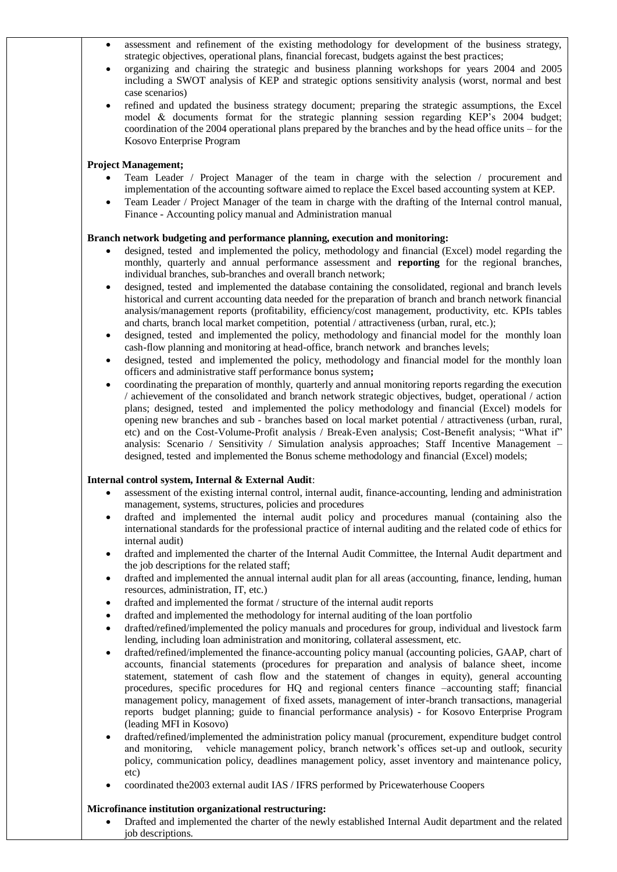- assessment and refinement of the existing methodology for development of the business strategy, strategic objectives, operational plans, financial forecast, budgets against the best practices;
- organizing and chairing the strategic and business planning workshops for years 2004 and 2005 including a SWOT analysis of KEP and strategic options sensitivity analysis (worst, normal and best case scenarios)
- refined and updated the business strategy document; preparing the strategic assumptions, the Excel model & documents format for the strategic planning session regarding KEP's 2004 budget; coordination of the 2004 operational plans prepared by the branches and by the head office units – for the Kosovo Enterprise Program

### **Project Management;**

- Team Leader / Project Manager of the team in charge with the selection / procurement and implementation of the accounting software aimed to replace the Excel based accounting system at KEP.
- Team Leader / Project Manager of the team in charge with the drafting of the Internal control manual, Finance - Accounting policy manual and Administration manual

### **Branch network budgeting and performance planning, execution and monitoring:**

- designed, tested and implemented the policy, methodology and financial (Excel) model regarding the monthly, quarterly and annual performance assessment and **reporting** for the regional branches, individual branches, sub-branches and overall branch network;
- designed, tested and implemented the database containing the consolidated, regional and branch levels historical and current accounting data needed for the preparation of branch and branch network financial analysis/management reports (profitability, efficiency/cost management, productivity, etc. KPIs tables and charts, branch local market competition, potential / attractiveness (urban, rural, etc.);
- designed, tested and implemented the policy, methodology and financial model for the monthly loan cash-flow planning and monitoring at head-office, branch network and branches levels;
- designed, tested and implemented the policy, methodology and financial model for the monthly loan officers and administrative staff performance bonus system**;**
- coordinating the preparation of monthly, quarterly and annual monitoring reports regarding the execution / achievement of the consolidated and branch network strategic objectives, budget, operational / action plans; designed, tested and implemented the policy methodology and financial (Excel) models for opening new branches and sub - branches based on local market potential / attractiveness (urban, rural, etc) and on the Cost-Volume-Profit analysis / Break-Even analysis; Cost-Benefit analysis; "What if" analysis: Scenario / Sensitivity / Simulation analysis approaches; Staff Incentive Management – designed, tested and implemented the Bonus scheme methodology and financial (Excel) models;

#### **Internal control system, Internal & External Audit**:

- assessment of the existing internal control, internal audit, finance-accounting, lending and administration management, systems, structures, policies and procedures
- drafted and implemented the internal audit policy and procedures manual (containing also the international standards for the professional practice of internal auditing and the related code of ethics for internal audit)
- drafted and implemented the charter of the Internal Audit Committee, the Internal Audit department and the job descriptions for the related staff;
- drafted and implemented the annual internal audit plan for all areas (accounting, finance, lending, human resources, administration, IT, etc.)
- drafted and implemented the format / structure of the internal audit reports
- drafted and implemented the methodology for internal auditing of the loan portfolio
- drafted/refined/implemented the policy manuals and procedures for group, individual and livestock farm lending, including loan administration and monitoring, collateral assessment, etc.
- drafted/refined/implemented the finance-accounting policy manual (accounting policies, GAAP, chart of accounts, financial statements (procedures for preparation and analysis of balance sheet, income statement, statement of cash flow and the statement of changes in equity), general accounting procedures, specific procedures for HQ and regional centers finance –accounting staff; financial management policy, management of fixed assets, management of inter-branch transactions, managerial reports budget planning; guide to financial performance analysis) - for Kosovo Enterprise Program (leading MFI in Kosovo)
- drafted/refined/implemented the administration policy manual (procurement, expenditure budget control and monitoring, vehicle management policy, branch network's offices set-up and outlook, security policy, communication policy, deadlines management policy, asset inventory and maintenance policy, etc)
- coordinated the2003 external audit IAS / IFRS performed by Pricewaterhouse Coopers

#### **Microfinance institution organizational restructuring:**

 Drafted and implemented the charter of the newly established Internal Audit department and the related job descriptions.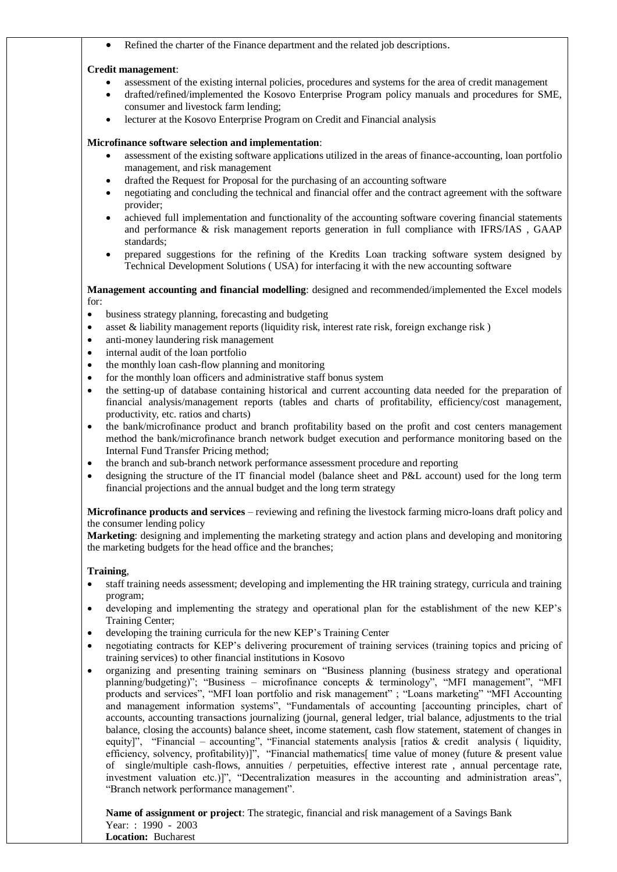Refined the charter of the Finance department and the related job descriptions.

#### **Credit management**:

- assessment of the existing internal policies, procedures and systems for the area of credit management
- drafted/refined/implemented the Kosovo Enterprise Program policy manuals and procedures for SME, consumer and livestock farm lending;
- lecturer at the Kosovo Enterprise Program on Credit and Financial analysis

#### **Microfinance software selection and implementation**:

- assessment of the existing software applications utilized in the areas of finance-accounting, loan portfolio management, and risk management
- drafted the Request for Proposal for the purchasing of an accounting software
- negotiating and concluding the technical and financial offer and the contract agreement with the software provider;
- achieved full implementation and functionality of the accounting software covering financial statements and performance & risk management reports generation in full compliance with IFRS/IAS , GAAP standards;
- prepared suggestions for the refining of the Kredits Loan tracking software system designed by Technical Development Solutions ( USA) for interfacing it with the new accounting software

**Management accounting and financial modelling**: designed and recommended/implemented the Excel models for:

- business strategy planning, forecasting and budgeting
- asset & liability management reports (liquidity risk, interest rate risk, foreign exchange risk )
- anti-money laundering risk management
- internal audit of the loan portfolio
- the monthly loan cash-flow planning and monitoring
- for the monthly loan officers and administrative staff bonus system
- the setting-up of database containing historical and current accounting data needed for the preparation of financial analysis/management reports (tables and charts of profitability, efficiency/cost management, productivity, etc. ratios and charts)
- the bank/microfinance product and branch profitability based on the profit and cost centers management method the bank/microfinance branch network budget execution and performance monitoring based on the Internal Fund Transfer Pricing method;
- the branch and sub-branch network performance assessment procedure and reporting
- designing the structure of the IT financial model (balance sheet and P&L account) used for the long term financial projections and the annual budget and the long term strategy

**Microfinance products and services** – reviewing and refining the livestock farming micro-loans draft policy and the consumer lending policy

**Marketing**: designing and implementing the marketing strategy and action plans and developing and monitoring the marketing budgets for the head office and the branches;

#### **Training**,

- staff training needs assessment; developing and implementing the HR training strategy, curricula and training program;
- developing and implementing the strategy and operational plan for the establishment of the new KEP's Training Center;
- developing the training curricula for the new KEP's Training Center
- negotiating contracts for KEP's delivering procurement of training services (training topics and pricing of training services) to other financial institutions in Kosovo
- organizing and presenting training seminars on "Business planning (business strategy and operational planning/budgeting)"; "Business – microfinance concepts & terminology", "MFI management", "MFI products and services", "MFI loan portfolio and risk management" ; "Loans marketing" "MFI Accounting and management information systems", "Fundamentals of accounting [accounting principles, chart of accounts, accounting transactions journalizing (journal, general ledger, trial balance, adjustments to the trial balance, closing the accounts) balance sheet, income statement, cash flow statement, statement of changes in equity]", "Financial – accounting", "Financial statements analysis [ratios  $\&$  credit analysis ( liquidity, efficiency, solvency, profitability)]", "Financial mathematics[ time value of money (future & present value of single/multiple cash-flows, annuities / perpetuities, effective interest rate , annual percentage rate, investment valuation etc.)]", "Decentralization measures in the accounting and administration areas", "Branch network performance management".

**Name of assignment or project**: The strategic, financial and risk management of a Savings Bank Year: : 1990 - 2003 **Location:** Bucharest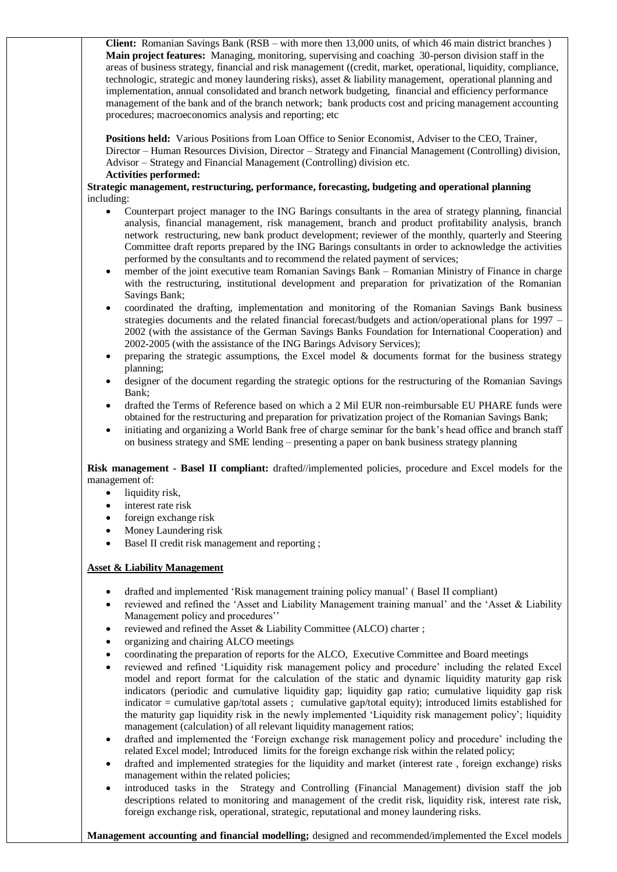**Client:** Romanian Savings Bank (RSB – with more then 13,000 units, of which 46 main district branches ) **Main project features:** Managing, monitoring, supervising and coaching 30-person division staff in the areas of business strategy, financial and risk management ((credit, market, operational, liquidity, compliance, technologic, strategic and money laundering risks), asset & liability management, operational planning and implementation, annual consolidated and branch network budgeting, financial and efficiency performance management of the bank and of the branch network; bank products cost and pricing management accounting procedures; macroeconomics analysis and reporting; etc

**Positions held:** Various Positions from Loan Office to Senior Economist, Adviser to the CEO, Trainer, Director – Human Resources Division, Director – Strategy and Financial Management (Controlling) division, Advisor – Strategy and Financial Management (Controlling) division etc.

#### **Activities performed:**

**Strategic management, restructuring, performance, forecasting, budgeting and operational planning** including:

- Counterpart project manager to the ING Barings consultants in the area of strategy planning, financial analysis, financial management, risk management, branch and product profitability analysis, branch network restructuring, new bank product development; reviewer of the monthly, quarterly and Steering Committee draft reports prepared by the ING Barings consultants in order to acknowledge the activities performed by the consultants and to recommend the related payment of services;
- member of the joint executive team Romanian Savings Bank Romanian Ministry of Finance in charge with the restructuring, institutional development and preparation for privatization of the Romanian Savings Bank;
- coordinated the drafting, implementation and monitoring of the Romanian Savings Bank business strategies documents and the related financial forecast/budgets and action/operational plans for 1997 – 2002 (with the assistance of the German Savings Banks Foundation for International Cooperation) and 2002-2005 (with the assistance of the ING Barings Advisory Services);
- preparing the strategic assumptions, the Excel model  $\&$  documents format for the business strategy planning;
- designer of the document regarding the strategic options for the restructuring of the Romanian Savings Bank;
- drafted the Terms of Reference based on which a 2 Mil EUR non-reimbursable EU PHARE funds were obtained for the restructuring and preparation for privatization project of the Romanian Savings Bank;
- initiating and organizing a World Bank free of charge seminar for the bank's head office and branch staff on business strategy and SME lending – presenting a paper on bank business strategy planning

**Risk management - Basel II compliant:** drafted//implemented policies, procedure and Excel models for the management of:

- liquidity risk,
- interest rate risk
- foreign exchange risk
- Money Laundering risk
- Basel II credit risk management and reporting ;

## **Asset & Liability Management**

- drafted and implemented 'Risk management training policy manual' ( Basel II compliant)
- reviewed and refined the 'Asset and Liability Management training manual' and the 'Asset & Liability Management policy and procedures''
- reviewed and refined the Asset & Liability Committee (ALCO) charter ;
- organizing and chairing ALCO meetings
- coordinating the preparation of reports for the ALCO, Executive Committee and Board meetings
- reviewed and refined 'Liquidity risk management policy and procedure' including the related Excel model and report format for the calculation of the static and dynamic liquidity maturity gap risk indicators (periodic and cumulative liquidity gap; liquidity gap ratio; cumulative liquidity gap risk indicator = cumulative gap/total assets ; cumulative gap/total equity); introduced limits established for the maturity gap liquidity risk in the newly implemented 'Liquidity risk management policy'; liquidity management (calculation) of all relevant liquidity management ratios;
- drafted and implemented the 'Foreign exchange risk management policy and procedure' including the related Excel model; Introduced limits for the foreign exchange risk within the related policy;
- drafted and implemented strategies for the liquidity and market (interest rate , foreign exchange) risks management within the related policies;
- introduced tasks in the Strategy and Controlling (Financial Management) division staff the job descriptions related to monitoring and management of the credit risk, liquidity risk, interest rate risk, foreign exchange risk, operational, strategic, reputational and money laundering risks.

**Management accounting and financial modelling;** designed and recommended/implemented the Excel models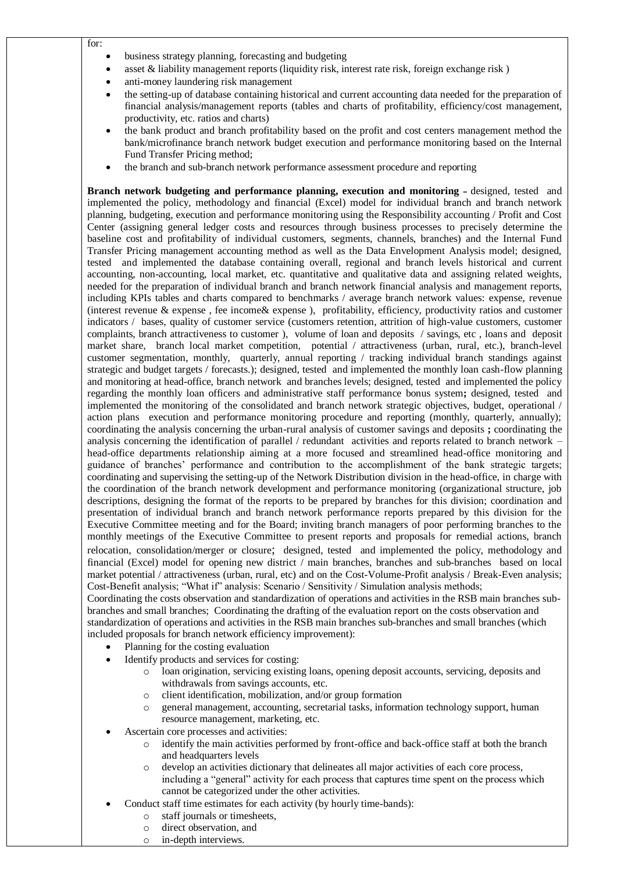- for:
- business strategy planning, forecasting and budgeting
- asset & liability management reports (liquidity risk, interest rate risk, foreign exchange risk )
- anti-money laundering risk management
- the setting-up of database containing historical and current accounting data needed for the preparation of financial analysis/management reports (tables and charts of profitability, efficiency/cost management, productivity, etc. ratios and charts)
- the bank product and branch profitability based on the profit and cost centers management method the bank/microfinance branch network budget execution and performance monitoring based on the Internal Fund Transfer Pricing method;
- the branch and sub-branch network performance assessment procedure and reporting

**Branch network budgeting and performance planning, execution and monitoring –** designed, tested and implemented the policy, methodology and financial (Excel) model for individual branch and branch network planning, budgeting, execution and performance monitoring using the Responsibility accounting / Profit and Cost Center (assigning general ledger costs and resources through business processes to precisely determine the baseline cost and profitability of individual customers, segments, channels, branches) and the Internal Fund Transfer Pricing management accounting method as well as the Data Envelopment Analysis model; designed, tested and implemented the database containing overall, regional and branch levels historical and current accounting, non-accounting, local market, etc. quantitative and qualitative data and assigning related weights, needed for the preparation of individual branch and branch network financial analysis and management reports, including KPIs tables and charts compared to benchmarks / average branch network values: expense, revenue (interest revenue & expense , fee income& expense ), profitability, efficiency, productivity ratios and customer indicators / bases, quality of customer service (customers retention, attrition of high-value customers, customer complaints, branch attractiveness to customer ), volume of loan and deposits / savings, etc , loans and deposit market share, branch local market competition, potential / attractiveness (urban, rural, etc.), branch-level customer segmentation, monthly, quarterly, annual reporting / tracking individual branch standings against strategic and budget targets / forecasts.); designed, tested and implemented the monthly loan cash-flow planning and monitoring at head-office, branch network and branches levels; designed, tested and implemented the policy regarding the monthly loan officers and administrative staff performance bonus system**;** designed, tested and implemented the monitoring of the consolidated and branch network strategic objectives, budget, operational / action plans execution and performance monitoring procedure and reporting (monthly, quarterly, annually); coordinating the analysis concerning the urban-rural analysis of customer savings and deposits **;** coordinating the analysis concerning the identification of parallel / redundant activities and reports related to branch network – head-office departments relationship aiming at a more focused and streamlined head-office monitoring and guidance of branches' performance and contribution to the accomplishment of the bank strategic targets; coordinating and supervising the setting-up of the Network Distribution division in the head-office, in charge with the coordination of the branch network development and performance monitoring (organizational structure, job descriptions, designing the format of the reports to be prepared by branches for this division; coordination and presentation of individual branch and branch network performance reports prepared by this division for the Executive Committee meeting and for the Board; inviting branch managers of poor performing branches to the monthly meetings of the Executive Committee to present reports and proposals for remedial actions, branch relocation, consolidation/merger or closure; designed, tested and implemented the policy, methodology and financial (Excel) model for opening new district / main branches, branches and sub-branches based on local market potential / attractiveness (urban, rural, etc) and on the Cost-Volume-Profit analysis / Break-Even analysis; Cost-Benefit analysis; "What if" analysis: Scenario / Sensitivity / Simulation analysis methods;

Coordinating the costs observation and standardization of operations and activities in the RSB main branches subbranches and small branches; Coordinating the drafting of the evaluation report on the costs observation and standardization of operations and activities in the RSB main branches sub-branches and small branches (which included proposals for branch network efficiency improvement):

- Planning for the costing evaluation
- Identify products and services for costing:
	- o loan origination, servicing existing loans, opening deposit accounts, servicing, deposits and withdrawals from savings accounts, etc.
	- o client identification, mobilization, and/or group formation
	- o general management, accounting, secretarial tasks, information technology support, human resource management, marketing, etc.
- Ascertain core processes and activities:
	- $\circ$  identify the main activities performed by front-office and back-office staff at both the branch and headquarters levels
	- o develop an activities dictionary that delineates all major activities of each core process, including a "general" activity for each process that captures time spent on the process which cannot be categorized under the other activities.
- Conduct staff time estimates for each activity (by hourly time-bands):
	- o staff journals or timesheets,
	- o direct observation, and
	- o in-depth interviews.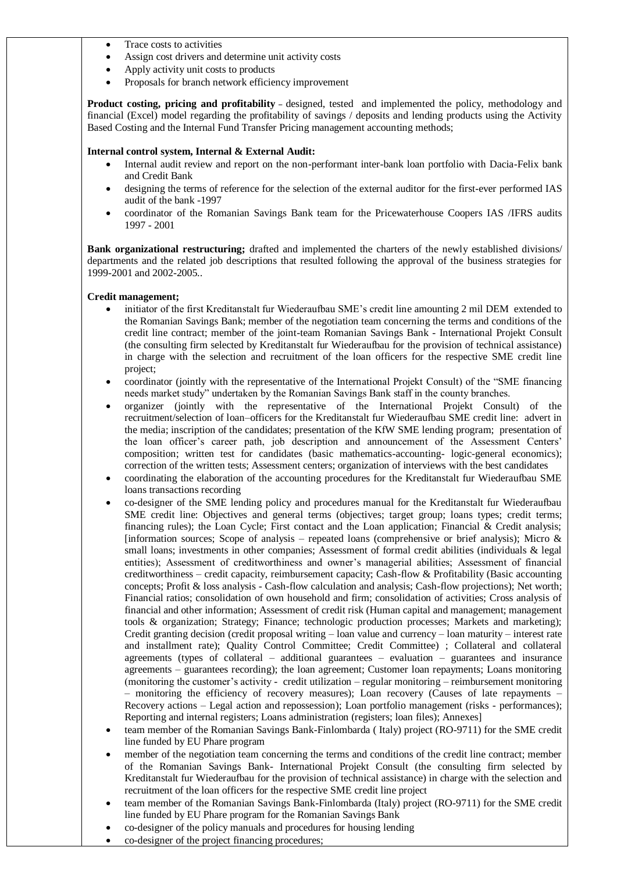- Trace costs to activities
- Assign cost drivers and determine unit activity costs
- Apply activity unit costs to products
- Proposals for branch network efficiency improvement

**Product costing, pricing and profitability** – designed, tested and implemented the policy, methodology and financial (Excel) model regarding the profitability of savings / deposits and lending products using the Activity Based Costing and the Internal Fund Transfer Pricing management accounting methods;

### **Internal control system, Internal & External Audit:**

- Internal audit review and report on the non-performant inter-bank loan portfolio with Dacia-Felix bank and Credit Bank
- designing the terms of reference for the selection of the external auditor for the first-ever performed IAS audit of the bank -1997
- coordinator of the Romanian Savings Bank team for the Pricewaterhouse Coopers IAS /IFRS audits 1997 - 2001

**Bank organizational restructuring;** drafted and implemented the charters of the newly established divisions/ departments and the related job descriptions that resulted following the approval of the business strategies for 1999-2001 and 2002-2005..

### **Credit management;**

- initiator of the first Kreditanstalt fur Wiederaufbau SME's credit line amounting 2 mil DEM extended to the Romanian Savings Bank; member of the negotiation team concerning the terms and conditions of the credit line contract; member of the joint-team Romanian Savings Bank - International Projekt Consult (the consulting firm selected by Kreditanstalt fur Wiederaufbau for the provision of technical assistance) in charge with the selection and recruitment of the loan officers for the respective SME credit line project;
- coordinator (jointly with the representative of the International Projekt Consult) of the "SME financing needs market study" undertaken by the Romanian Savings Bank staff in the county branches.
- organizer (jointly with the representative of the International Projekt Consult) of the recruitment/selection of loan–officers for the Kreditanstalt fur Wiederaufbau SME credit line: advert in the media; inscription of the candidates; presentation of the KfW SME lending program; presentation of the loan officer's career path, job description and announcement of the Assessment Centers' composition; written test for candidates (basic mathematics-accounting- logic-general economics); correction of the written tests; Assessment centers; organization of interviews with the best candidates
- coordinating the elaboration of the accounting procedures for the Kreditanstalt fur Wiederaufbau SME loans transactions recording
- co-designer of the SME lending policy and procedures manual for the Kreditanstalt fur Wiederaufbau SME credit line: Objectives and general terms (objectives; target group; loans types; credit terms; financing rules); the Loan Cycle; First contact and the Loan application; Financial & Credit analysis; [information sources; Scope of analysis – repeated loans (comprehensive or brief analysis); Micro  $\&$ small loans; investments in other companies; Assessment of formal credit abilities (individuals & legal entities); Assessment of creditworthiness and owner's managerial abilities; Assessment of financial creditworthiness – credit capacity, reimbursement capacity; Cash-flow & Profitability (Basic accounting concepts; Profit & loss analysis - Cash-flow calculation and analysis; Cash-flow projections); Net worth; Financial ratios; consolidation of own household and firm; consolidation of activities; Cross analysis of financial and other information; Assessment of credit risk (Human capital and management; management tools & organization; Strategy; Finance; technologic production processes; Markets and marketing); Credit granting decision (credit proposal writing – loan value and currency – loan maturity – interest rate and installment rate); Quality Control Committee; Credit Committee) ; Collateral and collateral agreements (types of collateral – additional guarantees – evaluation – guarantees and insurance agreements – guarantees recording); the loan agreement; Customer loan repayments; Loans monitoring (monitoring the customer's activity - credit utilization – regular monitoring – reimbursement monitoring – monitoring the efficiency of recovery measures); Loan recovery (Causes of late repayments – Recovery actions – Legal action and repossession); Loan portfolio management (risks - performances); Reporting and internal registers; Loans administration (registers; loan files); Annexes]
- team member of the Romanian Savings Bank-Finlombarda ( Italy) project (RO-9711) for the SME credit line funded by EU Phare program
- member of the negotiation team concerning the terms and conditions of the credit line contract; member of the Romanian Savings Bank- International Projekt Consult (the consulting firm selected by Kreditanstalt fur Wiederaufbau for the provision of technical assistance) in charge with the selection and recruitment of the loan officers for the respective SME credit line project
- team member of the Romanian Savings Bank-Finlombarda (Italy) project (RO-9711) for the SME credit line funded by EU Phare program for the Romanian Savings Bank
- co-designer of the policy manuals and procedures for housing lending
- co-designer of the project financing procedures;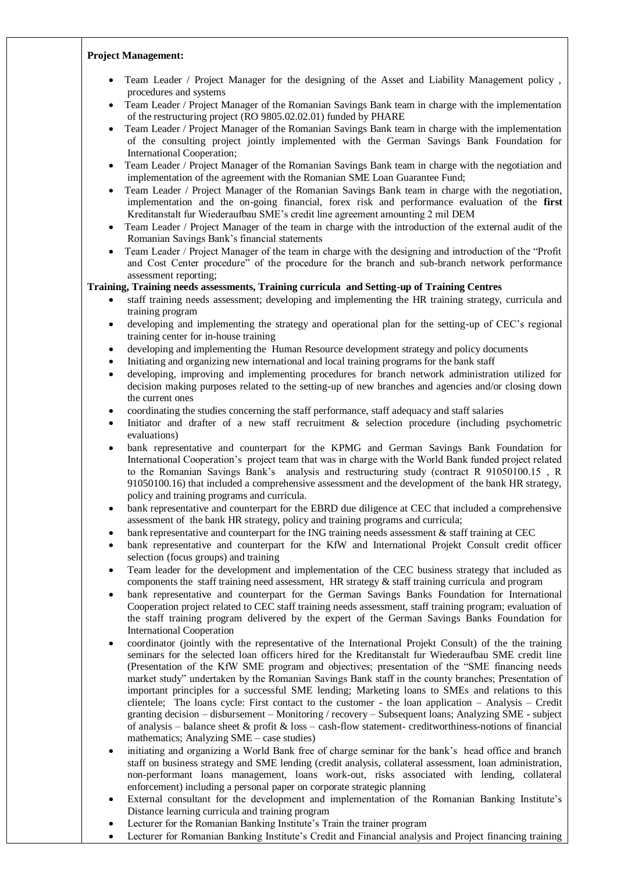#### **Project Management:**

- Team Leader / Project Manager for the designing of the Asset and Liability Management policy , procedures and systems
- Team Leader / Project Manager of the Romanian Savings Bank team in charge with the implementation of the restructuring project (RO 9805.02.02.01) funded by PHARE
- Team Leader / Project Manager of the Romanian Savings Bank team in charge with the implementation of the consulting project jointly implemented with the German Savings Bank Foundation for International Cooperation;
- Team Leader / Project Manager of the Romanian Savings Bank team in charge with the negotiation and implementation of the agreement with the Romanian SME Loan Guarantee Fund;
- Team Leader / Project Manager of the Romanian Savings Bank team in charge with the negotiation, implementation and the on-going financial, forex risk and performance evaluation of the **first** Kreditanstalt fur Wiederaufbau SME's credit line agreement amounting 2 mil DEM
- Team Leader / Project Manager of the team in charge with the introduction of the external audit of the Romanian Savings Bank's financial statements
- Team Leader / Project Manager of the team in charge with the designing and introduction of the "Profit and Cost Center procedure" of the procedure for the branch and sub-branch network performance assessment reporting;

### **Training, Training needs assessments, Training curricula and Setting-up of Training Centres**

- staff training needs assessment; developing and implementing the HR training strategy, curricula and training program
- developing and implementing the strategy and operational plan for the setting-up of CEC's regional training center for in-house training
- developing and implementing the Human Resource development strategy and policy documents
- Initiating and organizing new international and local training programs for the bank staff
- developing, improving and implementing procedures for branch network administration utilized for decision making purposes related to the setting-up of new branches and agencies and/or closing down the current ones
- coordinating the studies concerning the staff performance, staff adequacy and staff salaries
- Initiator and drafter of a new staff recruitment & selection procedure (including psychometric evaluations)
- bank representative and counterpart for the KPMG and German Savings Bank Foundation for International Cooperation's project team that was in charge with the World Bank funded project related to the Romanian Savings Bank's analysis and restructuring study (contract R 91050100.15 , R 91050100.16) that included a comprehensive assessment and the development of the bank HR strategy, policy and training programs and curricula.
- bank representative and counterpart for the EBRD due diligence at CEC that included a comprehensive assessment of the bank HR strategy, policy and training programs and curricula;
- bank representative and counterpart for the ING training needs assessment & staff training at CEC
- bank representative and counterpart for the KfW and International Projekt Consult credit officer selection (focus groups) and training
- Team leader for the development and implementation of the CEC business strategy that included as components the staff training need assessment, HR strategy  $\&$  staff training curricula and program
- bank representative and counterpart for the German Savings Banks Foundation for International Cooperation project related to CEC staff training needs assessment, staff training program; evaluation of the staff training program delivered by the expert of the German Savings Banks Foundation for International Cooperation
- coordinator (jointly with the representative of the International Projekt Consult) of the the training seminars for the selected loan officers hired for the Kreditanstalt fur Wiederaufbau SME credit line (Presentation of the KfW SME program and objectives; presentation of the "SME financing needs market study" undertaken by the Romanian Savings Bank staff in the county branches; Presentation of important principles for a successful SME lending; Marketing loans to SMEs and relations to this clientele; The loans cycle: First contact to the customer - the loan application – Analysis – Credit granting decision – disbursement – Monitoring / recovery – Subsequent loans; Analyzing SME - subject of analysis – balance sheet & profit & loss – cash-flow statement- creditworthiness-notions of financial mathematics; Analyzing SME – case studies)
- initiating and organizing a World Bank free of charge seminar for the bank's head office and branch staff on business strategy and SME lending (credit analysis, collateral assessment, loan administration, non-performant loans management, loans work-out, risks associated with lending, collateral enforcement) including a personal paper on corporate strategic planning
- External consultant for the development and implementation of the Romanian Banking Institute's Distance learning curricula and training program
- Lecturer for the Romanian Banking Institute's Train the trainer program
- Lecturer for Romanian Banking Institute's Credit and Financial analysis and Project financing training